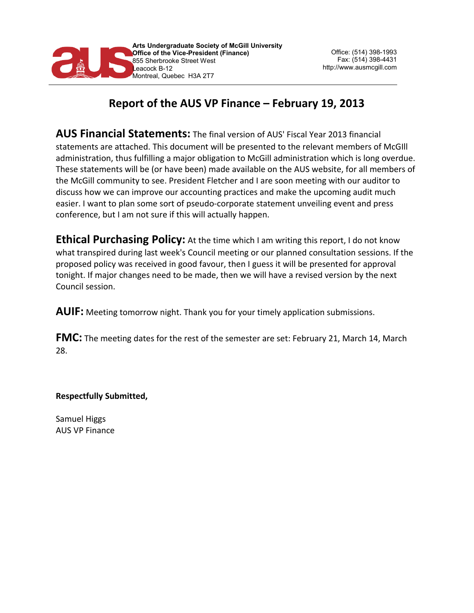

# **Report of the AUS VP Finance – February 19, 2013**

**AUS Financial Statements:** The final version of AUS' Fiscal Year 2013 financial statements are attached. This document will be presented to the relevant members of McGIll administration, thus fulfilling a major obligation to McGill administration which is long overdue. These statements will be (or have been) made available on the AUS website, for all members of the McGill community to see. President Fletcher and I are soon meeting with our auditor to discuss how we can improve our accounting practices and make the upcoming audit much easier. I want to plan some sort of pseudo-corporate statement unveiling event and press conference, but I am not sure if this will actually happen.

**Ethical Purchasing Policy:** At the time which I am writing this report, I do not know what transpired during last week's Council meeting or our planned consultation sessions. If the proposed policy was received in good favour, then I guess it will be presented for approval tonight. If major changes need to be made, then we will have a revised version by the next Council session.

**AUIF:** Meeting tomorrow night. Thank you for your timely application submissions.

**FMC:** The meeting dates for the rest of the semester are set: February 21, March 14, March 28.

**Respectfully Submitted,**

Samuel Higgs AUS VP Finance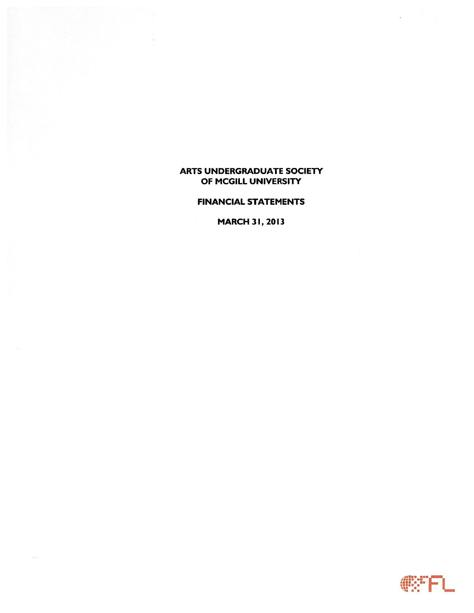# **ARTS UNDERGRADUATE SOCIETY** OF MCGILL UNIVERSITY

# **FINANCIAL STATEMENTS**

**MARCH 31, 2013** 

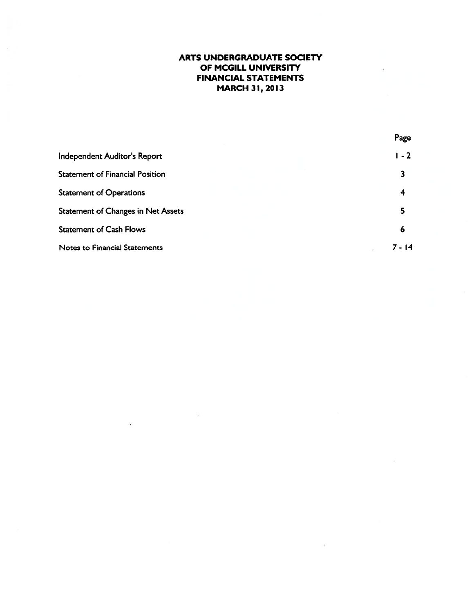|                                           | Page    |
|-------------------------------------------|---------|
| Independent Auditor's Report              | $1 - 2$ |
| <b>Statement of Financial Position</b>    | 3       |
| <b>Statement of Operations</b>            | 4       |
| <b>Statement of Changes in Net Assets</b> | 5       |
| <b>Statement of Cash Flows</b>            | 6       |
| <b>Notes to Financial Statements</b>      | 7 - 14  |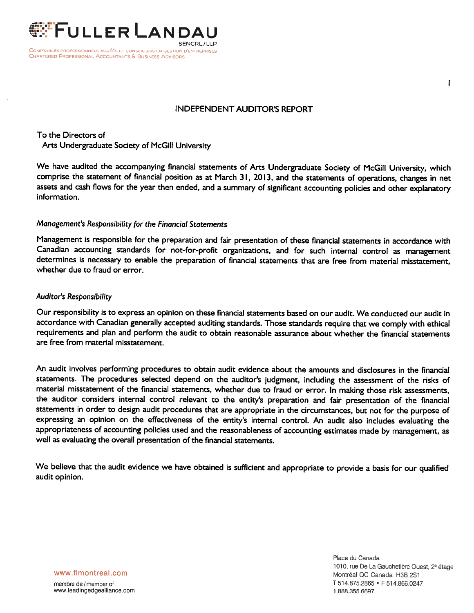

### **INDEPENDENT AUDITOR'S REPORT**

To the Directors of Arts Undergraduate Society of McGill University

We have audited the accompanying financial statements of Arts Undergraduate Society of McGill University, which comprise the statement of financial position as at March 31, 2013, and the statements of operations, changes in net assets and cash flows for the year then ended, and a summary of significant accounting policies and other explanatory information.

### Management's Responsibility for the Financial Statements

Management is responsible for the preparation and fair presentation of these financial statements in accordance with Canadian accounting standards for not-for-profit organizations, and for such internal control as management determines is necessary to enable the preparation of financial statements that are free from material misstatement, whether due to fraud or error.

### **Auditor's Responsibility**

Our responsibility is to express an opinion on these financial statements based on our audit. We conducted our audit in accordance with Canadian generally accepted auditing standards. Those standards require that we comply with ethical requirements and plan and perform the audit to obtain reasonable assurance about whether the financial statements are free from material misstatement.

An audit involves performing procedures to obtain audit evidence about the amounts and disclosures in the financial statements. The procedures selected depend on the auditor's judgment, including the assessment of the risks of material misstatement of the financial statements, whether due to fraud or error. In making those risk assessments, the auditor considers internal control relevant to the entity's preparation and fair presentation of the financial statements in order to design audit procedures that are appropriate in the circumstances, but not for the purpose of expressing an opinion on the effectiveness of the entity's internal control. An audit also includes evaluating the appropriateness of accounting policies used and the reasonableness of accounting estimates made by management, as well as evaluating the overall presentation of the financial statements.

We believe that the audit evidence we have obtained is sufficient and appropriate to provide a basis for our qualified audit opinion.

www.flmontreal.com membre de / member of www.leadingedgealliance.com Place du Canada 1010, rue De La Gauchetière Ouest, 2<sup>e</sup> étage Montréal QC Canada H3B 2S1 T 514.875.2865 · F 514.866.0247 1.888.355.6697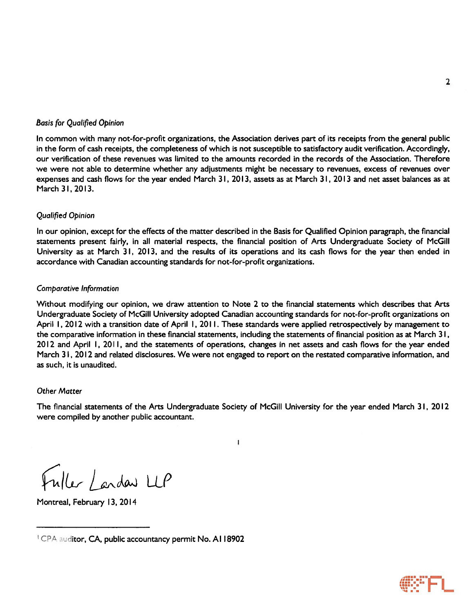### **Basis for Qualified Opinion**

In common with many not-for-profit organizations, the Association derives part of its receipts from the general public in the form of cash receipts, the completeness of which is not susceptible to satisfactory audit verification. Accordingly, our verification of these revenues was limited to the amounts recorded in the records of the Association. Therefore we were not able to determine whether any adjustments might be necessary to revenues, excess of revenues over expenses and cash flows for the year ended March 31, 2013, assets as at March 31, 2013 and net asset balances as at March 31, 2013.

## **Qualified Opinion**

In our opinion, except for the effects of the matter described in the Basis for Qualified Opinion paragraph, the financial statements present fairly, in all material respects, the financial position of Arts Undergraduate Society of McGill University as at March 31, 2013, and the results of its operations and its cash flows for the year then ended in accordance with Canadian accounting standards for not-for-profit organizations.

### **Comparative Information**

Without modifying our opinion, we draw attention to Note 2 to the financial statements which describes that Arts Undergraduate Society of McGill University adopted Canadian accounting standards for not-for-profit organizations on April 1, 2012 with a transition date of April 1, 2011. These standards were applied retrospectively by management to the comparative information in these financial statements, including the statements of financial position as at March 31, 2012 and April 1, 2011, and the statements of operations, changes in net assets and cash flows for the year ended March 31, 2012 and related disclosures. We were not engaged to report on the restated comparative information, and as such, it is unaudited.

### **Other Matter**

The financial statements of the Arts Undergraduate Society of McGill University for the year ended March 31, 2012 were compiled by another public accountant.

 $\mathbf{I}$ 

Fuller Landar LLP

Montreal, February 13, 2014



<sup>&</sup>lt;sup>1</sup> CPA auditor, CA, public accountancy permit No. Al 18902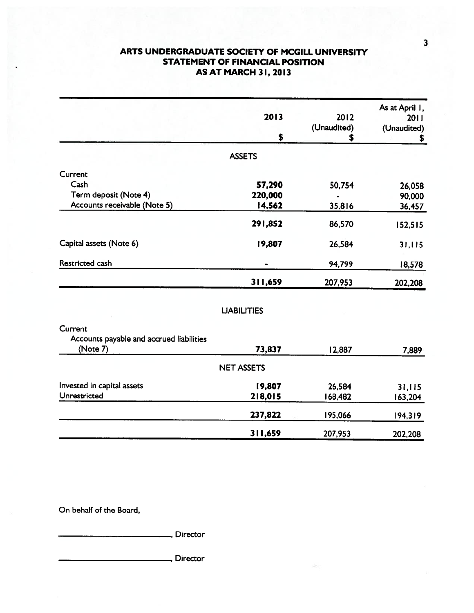# ARTS UNDERGRADUATE SOCIETY OF MCGILL UNIVERSITY **STATEMENT OF FINANCIAL POSITION AS AT MARCH 31, 2013**

|                                          | 2013<br>\$         | 2012<br>(Unaudited)<br>\$ | As at April 1,<br>2011<br>(Unaudited)<br>\$ |
|------------------------------------------|--------------------|---------------------------|---------------------------------------------|
|                                          | <b>ASSETS</b>      |                           |                                             |
| Current                                  |                    |                           |                                             |
| Cash                                     | 57,290             | 50,754                    | 26,058                                      |
| Term deposit (Note 4)                    | 220,000            |                           | 90,000                                      |
| Accounts receivable (Note 5)             | 14,562             | 35,816                    | 36,457                                      |
|                                          | 291,852            | 86,570                    | 152,515                                     |
| Capital assets (Note 6)                  | 19,807             | 26,584                    | 31, 115                                     |
| Restricted cash                          |                    | 94,799                    | 18,578                                      |
|                                          | 311,659            | 207,953                   | 202,208                                     |
|                                          | <b>LIABILITIES</b> |                           |                                             |
| Current                                  |                    |                           |                                             |
| Accounts payable and accrued liabilities |                    |                           |                                             |
| (Note 7)                                 | 73,837             | 12,887                    | 7,889                                       |
|                                          | <b>NET ASSETS</b>  |                           |                                             |
| Invested in capital assets               | 19,807             | 26,584                    | 31,115                                      |
| Unrestricted                             | 218,015            | 168,482                   | 163,204                                     |
|                                          | 237,822            | 195,066                   | 194,319                                     |
|                                          | 311,659            | 207,953                   | 202,208                                     |

On behalf of the Board,

Director , Director

Director , Director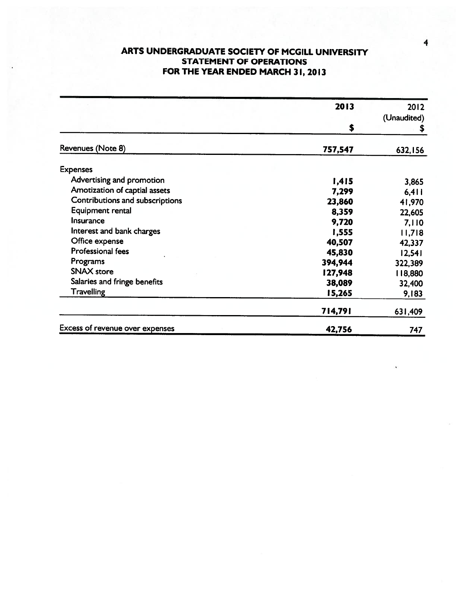# ARTS UNDERGRADUATE SOCIETY OF MCGILL UNIVERSITY **STATEMENT OF OPERATIONS** FOR THE YEAR ENDED MARCH 31, 2013

|                                 | 2013    | 2012        |
|---------------------------------|---------|-------------|
|                                 |         | (Unaudited) |
|                                 | \$      | \$          |
| Revenues (Note 8)               | 757,547 | 632,156     |
| <b>Expenses</b>                 |         |             |
| Advertising and promotion       | 1,415   | 3,865       |
| Amotization of captial assets   | 7,299   | 6, 411      |
| Contributions and subscriptions | 23,860  | 41,970      |
| <b>Equipment rental</b>         | 8,359   | 22,605      |
| Insurance                       | 9,720   | 7,110       |
| Interest and bank charges       | 1,555   | 11,718      |
| Office expense                  | 40,507  | 42,337      |
| <b>Professional fees</b>        | 45,830  | 12,541      |
| Programs                        | 394,944 | 322,389     |
| <b>SNAX store</b>               | 127,948 | 118,880     |
| Salaries and fringe benefits    | 38,089  | 32,400      |
| <b>Travelling</b>               | 15,265  | 9,183       |
|                                 | 714,791 | 631,409     |
| Excess of revenue over expenses | 42,756  | 747         |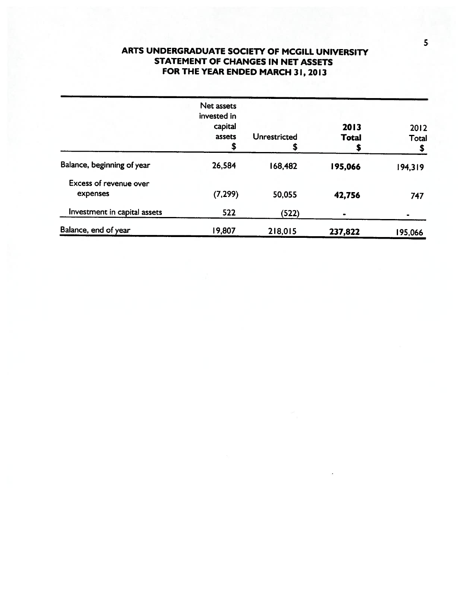# ARTS UNDERGRADUATE SOCIETY OF MCGILL UNIVERSITY STATEMENT OF CHANGES IN NET ASSETS FOR THE YEAR ENDED MARCH 31, 2013

|                                    | Net assets<br>invested in<br>capital<br>assets<br>S | <b>Unrestricted</b><br>S | 2013<br><b>Total</b><br>Ş | 2012<br><b>Total</b> |
|------------------------------------|-----------------------------------------------------|--------------------------|---------------------------|----------------------|
| Balance, beginning of year         | 26,584                                              | 168,482                  | 195,066                   | 194,319              |
| Excess of revenue over<br>expenses | (7, 299)                                            | 50,055                   | 42,756                    | 747                  |
| Investment in capital assets       | 522                                                 | (522)                    |                           |                      |
| Balance, end of year               | 19,807                                              | 218,015                  | 237,822                   | 195,066              |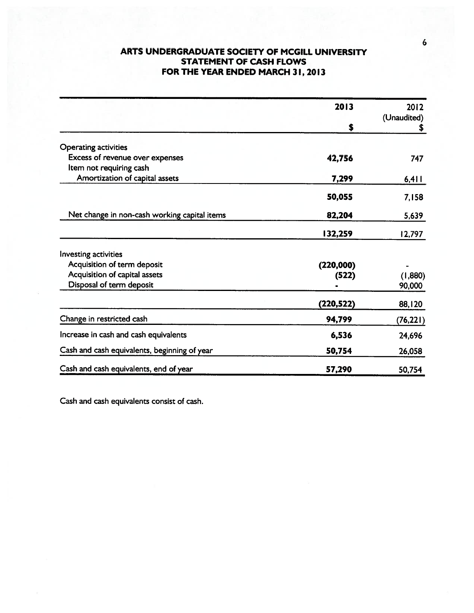# ARTS UNDERGRADUATE SOCIETY OF MCGILL UNIVERSITY **STATEMENT OF CASH FLOWS** FOR THE YEAR ENDED MARCH 31, 2013

|                                              | 2013       | 2012        |
|----------------------------------------------|------------|-------------|
|                                              |            | (Unaudited) |
|                                              | \$         | \$          |
| <b>Operating activities</b>                  |            |             |
| Excess of revenue over expenses              | 42,756     | 747         |
| Item not requiring cash                      |            |             |
| Amortization of capital assets               | 7,299      | 6,411       |
|                                              | 50,055     | 7,158       |
| Net change in non-cash working capital items | 82,204     | 5,639       |
|                                              | 132,259    | 12,797      |
| <b>Investing activities</b>                  |            |             |
| Acquisition of term deposit                  | (220,000)  |             |
| Acquisition of capital assets                | (522)      | (1,880)     |
| Disposal of term deposit                     |            | 90,000      |
|                                              | (220, 522) | 88,120      |
| Change in restricted cash                    | 94,799     | (76, 221)   |
| Increase in cash and cash equivalents        | 6,536      | 24,696      |
| Cash and cash equivalents, beginning of year | 50,754     | 26,058      |
| Cash and cash equivalents, end of year       | 57,290     | 50,754      |

Cash and cash equivalents consist of cash.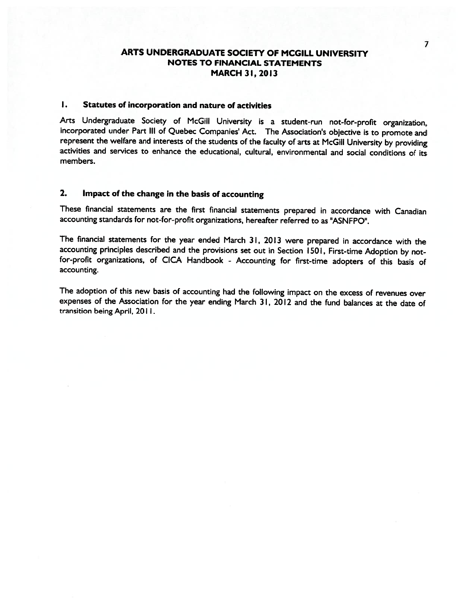#### Statutes of incorporation and nature of activities  $\mathbf{L}$

Arts Undergraduate Society of McGill University is a student-run not-for-profit organization, incorporated under Part III of Quebec Companies' Act. The Association's objective is to promote and represent the welfare and interests of the students of the faculty of arts at McGill University by providing activities and services to enhance the educational, cultural, environmental and social conditions of its members.

#### $2.$ Impact of the change in the basis of accounting

These financial statements are the first financial statements prepared in accordance with Canadian accounting standards for not-for-profit organizations, hereafter referred to as "ASNFPO".

The financial statements for the year ended March 31, 2013 were prepared in accordance with the accounting principles described and the provisions set out in Section 1501, First-time Adoption by notfor-profit organizations, of CICA Handbook - Accounting for first-time adopters of this basis of accounting.

The adoption of this new basis of accounting had the following impact on the excess of revenues over expenses of the Association for the year ending March 31, 2012 and the fund balances at the date of transition being April, 2011.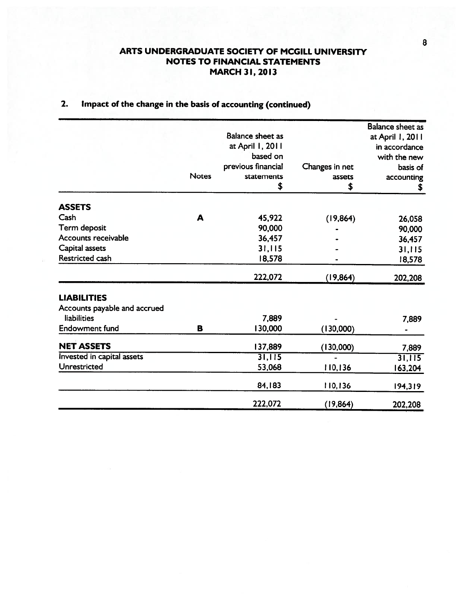|                                   |              |                         |                | <b>Balance sheet as</b> |
|-----------------------------------|--------------|-------------------------|----------------|-------------------------|
|                                   |              | <b>Balance sheet as</b> |                | at April 1, 2011        |
|                                   |              | at April 1, 2011        |                | in accordance           |
|                                   |              | based on                |                | with the new            |
|                                   |              | previous financial      | Changes in net | basis of                |
|                                   | <b>Notes</b> | statements              | assets         | accounting              |
|                                   |              | \$                      | \$             | \$                      |
| <b>ASSETS</b>                     |              |                         |                |                         |
| Cash                              | A            | 45,922                  | (19, 864)      | 26,058                  |
| Term deposit                      |              | 90,000                  |                | 90,000                  |
| Accounts receivable               |              | 36,457                  |                | 36,457                  |
| Capital assets                    |              | 31, 115                 |                | 31,115                  |
| Restricted cash                   |              | 18,578                  |                | 18,578                  |
|                                   |              | 222,072                 | (19, 864)      | 202,208                 |
| <b>LIABILITIES</b>                |              |                         |                |                         |
| Accounts payable and accrued      |              |                         |                |                         |
| <b>liabilities</b>                |              | 7,889                   |                | 7,889                   |
| <b>Endowment fund</b>             | в            | 130,000                 | (130,000)      |                         |
| <b>NET ASSETS</b>                 |              | 137,889                 | (130,000)      | 7,889                   |
| <b>Invested in capital assets</b> |              | 31, 115                 |                | 31,115                  |
| <b>Unrestricted</b>               |              | 53,068                  | 110,136        | 163,204                 |
|                                   |              | 84,183                  | 110,136        | 194,319                 |
|                                   |              | 222,072                 | (19, 864)      | 202,208                 |

### $2.$ Impact of the change in the basis of accounting (continued)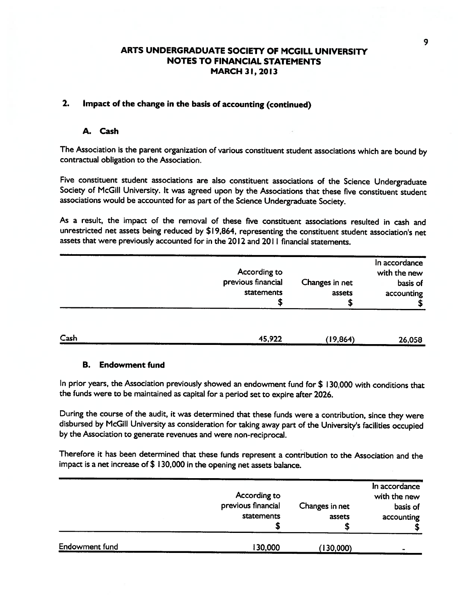#### $2.$ Impact of the change in the basis of accounting (continued)

### A. Cash

The Association is the parent organization of various constituent student associations which are bound by contractual obligation to the Association.

Five constituent student associations are also constituent associations of the Science Undergraduate Society of McGill University. It was agreed upon by the Associations that these five constituent student associations would be accounted for as part of the Science Undergraduate Society.

As a result, the impact of the removal of these five constituent associations resulted in cash and unrestricted net assets being reduced by \$19,864, representing the constituent student association's net assets that were previously accounted for in the 2012 and 2011 financial statements.

|      | According to<br>previous financial<br>statements | Changes in net<br>assets | In accordance<br>with the new<br>basis of<br>accounting |
|------|--------------------------------------------------|--------------------------|---------------------------------------------------------|
| Cash | 45,922                                           | (19, 864)                | 26,058                                                  |

## **B.** Endowment fund

In prior years, the Association previously showed an endowment fund for \$ 130,000 with conditions that the funds were to be maintained as capital for a period set to expire after 2026.

During the course of the audit, it was determined that these funds were a contribution, since they were disbursed by McGill University as consideration for taking away part of the University's facilities occupied by the Association to generate revenues and were non-reciprocal.

Therefore it has been determined that these funds represent a contribution to the Association and the impact is a net increase of \$130,000 in the opening net assets balance.

|                | According to<br>previous financial<br>statements | Changes in net<br>assets | In accordance<br>with the new<br>basis of<br>accounting |
|----------------|--------------------------------------------------|--------------------------|---------------------------------------------------------|
| Endowment fund | 130,000                                          | (130,000)                |                                                         |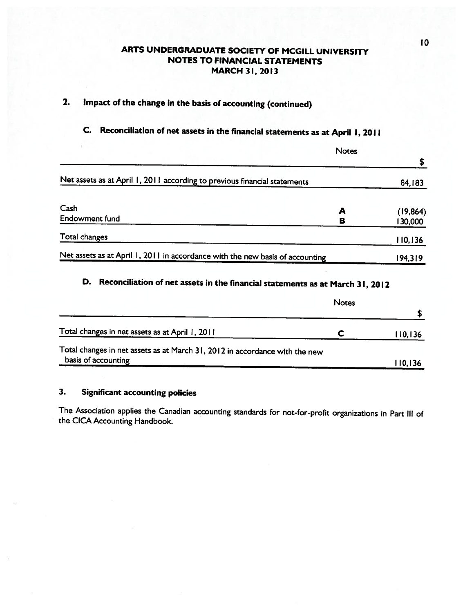### Impact of the change in the basis of accounting (continued)  $2.$

# C. Reconciliation of net assets in the financial statements as at April 1, 2011

|                                                                               | <b>Notes</b> |           |
|-------------------------------------------------------------------------------|--------------|-----------|
|                                                                               |              |           |
| Net assets as at April 1, 2011 according to previous financial statements     |              | 84,183    |
| Cash                                                                          | А            | (19, 864) |
| <b>Endowment fund</b>                                                         | в            | 130,000   |
| Total changes                                                                 |              | 110,136   |
| Net assets as at April 1, 2011 in accordance with the new basis of accounting |              | 194,319   |

# D. Reconciliation of net assets in the financial statements as at March 31, 2012

|                                                                             | <b>Notes</b> |          |  |
|-----------------------------------------------------------------------------|--------------|----------|--|
|                                                                             |              |          |  |
| Total changes in net assets as at April 1, 2011                             |              | 110, 136 |  |
| Total changes in net assets as at March 31, 2012 in accordance with the new |              |          |  |
| basis of accounting                                                         |              | 110, 136 |  |

#### 3. **Significant accounting policies**

The Association applies the Canadian accounting standards for not-for-profit organizations in Part III of the CICA Accounting Handbook.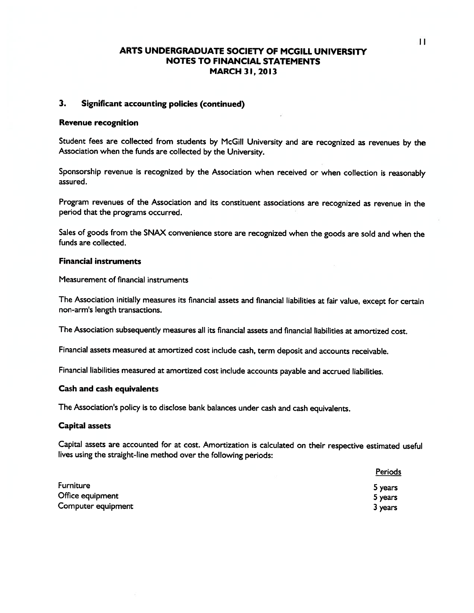#### Significant accounting policies (continued) 3.

### **Revenue recognition**

Student fees are collected from students by McGill University and are recognized as revenues by the Association when the funds are collected by the University.

Sponsorship revenue is recognized by the Association when received or when collection is reasonably assured.

Program revenues of the Association and its constituent associations are recognized as revenue in the period that the programs occurred.

Sales of goods from the SNAX convenience store are recognized when the goods are sold and when the funds are collected.

### **Financial instruments**

Measurement of financial instruments

The Association initially measures its financial assets and financial liabilities at fair value, except for certain non-arm's length transactions.

The Association subsequently measures all its financial assets and financial liabilities at amortized cost.

Financial assets measured at amortized cost include cash, term deposit and accounts receivable.

Financial liabilities measured at amortized cost include accounts payable and accrued liabilities.

### **Cash and cash equivalents**

The Association's policy is to disclose bank balances under cash and cash equivalents.

## **Capital assets**

Capital assets are accounted for at cost. Amortization is calculated on their respective estimated useful lives using the straight-line method over the following periods:

|                    | Periods |
|--------------------|---------|
| Furniture          | 5 years |
| Office equipment   | 5 years |
| Computer equipment | 3 years |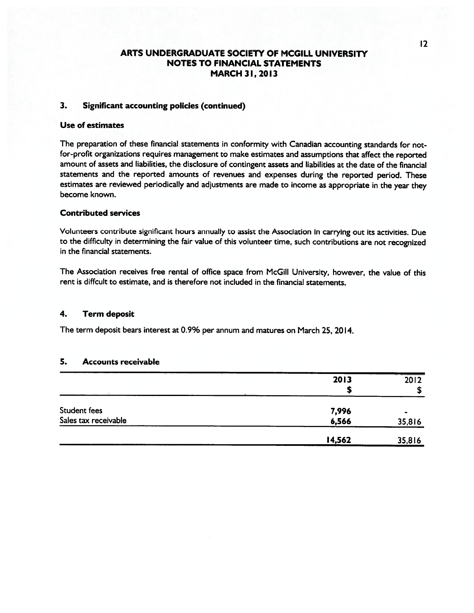#### 3. **Significant accounting policies (continued)**

### Use of estimates

The preparation of these financial statements in conformity with Canadian accounting standards for notfor-profit organizations requires management to make estimates and assumptions that affect the reported amount of assets and liabilities, the disclosure of contingent assets and liabilities at the date of the financial statements and the reported amounts of revenues and expenses during the reported period. These estimates are reviewed periodically and adjustments are made to income as appropriate in the year they become known.

### **Contributed services**

Volunteers contribute significant hours annually to assist the Association in carrying out its activities. Due to the difficulty in determining the fair value of this volunteer time, such contributions are not recognized in the financial statements.

The Association receives free rental of office space from McGill University, however, the value of this rent is diffcult to estimate, and is therefore not included in the financial statements.

#### 4. **Term deposit**

The term deposit bears interest at 0.9% per annum and matures on March 25, 2014.

#### 5. **Accounts receivable**

|                      | 2013   | 2012   |
|----------------------|--------|--------|
| <b>Student fees</b>  | 7,996  |        |
| Sales tax receivable | 6,566  | 35,816 |
|                      | 14,562 | 35,816 |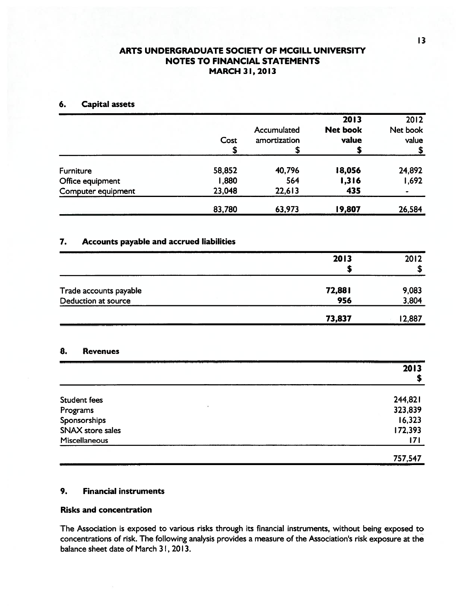#### 6. **Capital assets**

|                    | Cost   | Accumulated<br>amortization | 2013<br><b>Net book</b><br>value | 2012<br>Net book<br>value |
|--------------------|--------|-----------------------------|----------------------------------|---------------------------|
| Furniture          | 58,852 | 40,796                      | 18,056                           | 24,892                    |
| Office equipment   | 880, ا | 564                         | 1,316                            | 1,692                     |
| Computer equipment | 23,048 | 22,613                      | 435                              |                           |
|                    | 83,780 | 63,973                      | 19,807                           | 26,584                    |

#### 7. Accounts payable and accrued liabilities

|                        | 2013   | 2012   |
|------------------------|--------|--------|
| Trade accounts payable | 72,881 | 9,083  |
| Deduction at source    | 956    | 3,804  |
|                        | 73,837 | 12,887 |

#### 8. **Revenues**

|                  | 2013    |
|------------------|---------|
|                  |         |
| Student fees     | 244,821 |
| ×.<br>Programs   | 323,839 |
| Sponsorships     | 16,323  |
| SNAX store sales | 172,393 |
| Miscellaneous    | 7       |
|                  | 757,547 |

#### **Financial instruments** 9.

### **Risks and concentration**

The Association is exposed to various risks through its financial instruments, without being exposed to concentrations of risk. The following analysis provides a measure of the Association's risk exposure at the balance sheet date of March 31, 2013.